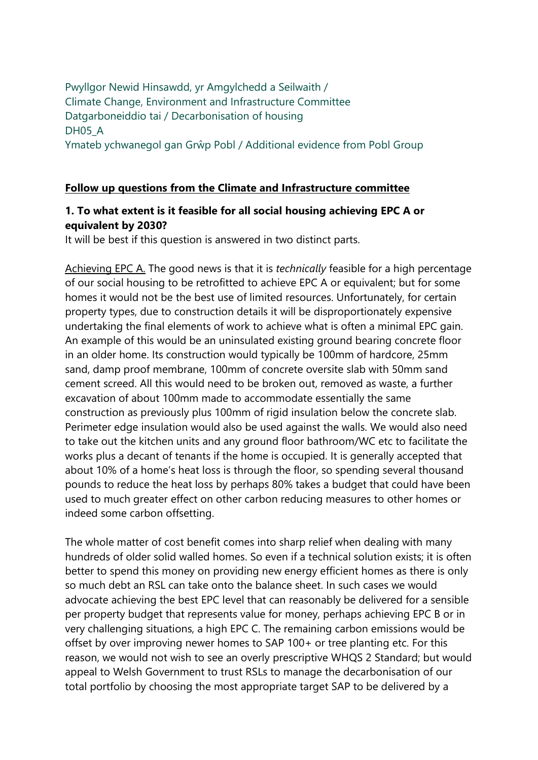## Pwyllgor Newid Hinsawdd, yr Amgylchedd a Seilwaith / Climate Change, Environment and Infrastructure Committee Datgarboneiddio tai / Decarbonisation of housing DH05<sub>A</sub> Ymateb ychwanegol gan Grŵp Pobl / Additional evidence from Pobl Group

## **Follow up questions from the Climate and Infrastructure committee**

## **1. To what extent is it feasible for all social housing achieving EPC A or equivalent by 2030?**

It will be best if this question is answered in two distinct parts.

Achieving EPC A. The good news is that it is *technically* feasible for a high percentage of our social housing to be retrofitted to achieve EPC A or equivalent; but for some homes it would not be the best use of limited resources. Unfortunately, for certain property types, due to construction details it will be disproportionately expensive undertaking the final elements of work to achieve what is often a minimal EPC gain. An example of this would be an uninsulated existing ground bearing concrete floor in an older home. Its construction would typically be 100mm of hardcore, 25mm sand, damp proof membrane, 100mm of concrete oversite slab with 50mm sand cement screed. All this would need to be broken out, removed as waste, a further excavation of about 100mm made to accommodate essentially the same construction as previously plus 100mm of rigid insulation below the concrete slab. Perimeter edge insulation would also be used against the walls. We would also need to take out the kitchen units and any ground floor bathroom/WC etc to facilitate the works plus a decant of tenants if the home is occupied. It is generally accepted that about 10% of a home's heat loss is through the floor, so spending several thousand pounds to reduce the heat loss by perhaps 80% takes a budget that could have been used to much greater effect on other carbon reducing measures to other homes or indeed some carbon offsetting.

The whole matter of cost benefit comes into sharp relief when dealing with many hundreds of older solid walled homes. So even if a technical solution exists; it is often better to spend this money on providing new energy efficient homes as there is only so much debt an RSL can take onto the balance sheet. In such cases we would advocate achieving the best EPC level that can reasonably be delivered for a sensible per property budget that represents value for money, perhaps achieving EPC B or in very challenging situations, a high EPC C. The remaining carbon emissions would be offset by over improving newer homes to SAP 100+ or tree planting etc. For this reason, we would not wish to see an overly prescriptive WHQS 2 Standard; but would appeal to Welsh Government to trust RSLs to manage the decarbonisation of our total portfolio by choosing the most appropriate target SAP to be delivered by a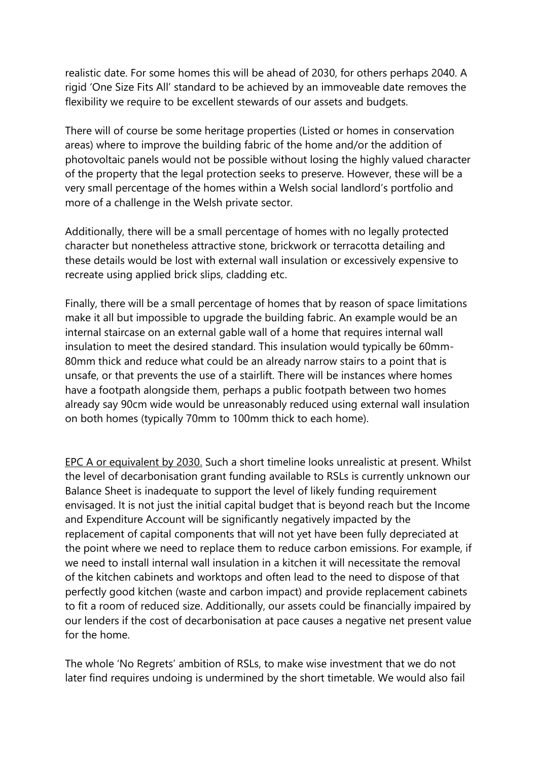realistic date. For some homes this will be ahead of 2030, for others perhaps 2040. A rigid 'One Size Fits All' standard to be achieved by an immoveable date removes the flexibility we require to be excellent stewards of our assets and budgets.

There will of course be some heritage properties (Listed or homes in conservation areas) where to improve the building fabric of the home and/or the addition of photovoltaic panels would not be possible without losing the highly valued character of the property that the legal protection seeks to preserve. However, these will be a very small percentage of the homes within a Welsh social landlord's portfolio and more of a challenge in the Welsh private sector.

Additionally, there will be a small percentage of homes with no legally protected character but nonetheless attractive stone, brickwork or terracotta detailing and these details would be lost with external wall insulation or excessively expensive to recreate using applied brick slips, cladding etc.

Finally, there will be a small percentage of homes that by reason of space limitations make it all but impossible to upgrade the building fabric. An example would be an internal staircase on an external gable wall of a home that requires internal wall insulation to meet the desired standard. This insulation would typically be 60mm-80mm thick and reduce what could be an already narrow stairs to a point that is unsafe, or that prevents the use of a stairlift. There will be instances where homes have a footpath alongside them, perhaps a public footpath between two homes already say 90cm wide would be unreasonably reduced using external wall insulation on both homes (typically 70mm to 100mm thick to each home).

EPC A or equivalent by 2030. Such a short timeline looks unrealistic at present. Whilst the level of decarbonisation grant funding available to RSLs is currently unknown our Balance Sheet is inadequate to support the level of likely funding requirement envisaged. It is not just the initial capital budget that is beyond reach but the Income and Expenditure Account will be significantly negatively impacted by the replacement of capital components that will not yet have been fully depreciated at the point where we need to replace them to reduce carbon emissions. For example, if we need to install internal wall insulation in a kitchen it will necessitate the removal of the kitchen cabinets and worktops and often lead to the need to dispose of that perfectly good kitchen (waste and carbon impact) and provide replacement cabinets to fit a room of reduced size. Additionally, our assets could be financially impaired by our lenders if the cost of decarbonisation at pace causes a negative net present value for the home.

The whole 'No Regrets' ambition of RSLs, to make wise investment that we do not later find requires undoing is undermined by the short timetable. We would also fail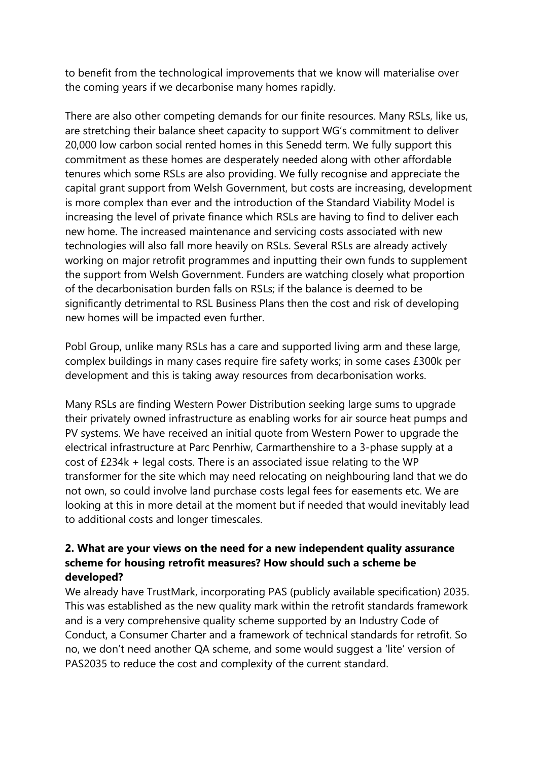to benefit from the technological improvements that we know will materialise over the coming years if we decarbonise many homes rapidly.

There are also other competing demands for our finite resources. Many RSLs, like us, are stretching their balance sheet capacity to support WG's commitment to deliver 20,000 low carbon social rented homes in this Senedd term. We fully support this commitment as these homes are desperately needed along with other affordable tenures which some RSLs are also providing. We fully recognise and appreciate the capital grant support from Welsh Government, but costs are increasing, development is more complex than ever and the introduction of the Standard Viability Model is increasing the level of private finance which RSLs are having to find to deliver each new home. The increased maintenance and servicing costs associated with new technologies will also fall more heavily on RSLs. Several RSLs are already actively working on major retrofit programmes and inputting their own funds to supplement the support from Welsh Government. Funders are watching closely what proportion of the decarbonisation burden falls on RSLs; if the balance is deemed to be significantly detrimental to RSL Business Plans then the cost and risk of developing new homes will be impacted even further.

Pobl Group, unlike many RSLs has a care and supported living arm and these large, complex buildings in many cases require fire safety works; in some cases £300k per development and this is taking away resources from decarbonisation works.

Many RSLs are finding Western Power Distribution seeking large sums to upgrade their privately owned infrastructure as enabling works for air source heat pumps and PV systems. We have received an initial quote from Western Power to upgrade the electrical infrastructure at Parc Penrhiw, Carmarthenshire to a 3-phase supply at a cost of £234k + legal costs. There is an associated issue relating to the WP transformer for the site which may need relocating on neighbouring land that we do not own, so could involve land purchase costs legal fees for easements etc. We are looking at this in more detail at the moment but if needed that would inevitably lead to additional costs and longer timescales.

## **2. What are your views on the need for a new independent quality assurance scheme for housing retrofit measures? How should such a scheme be developed?**

We already have TrustMark, incorporating PAS (publicly available specification) 2035. This was established as the new quality mark within the retrofit standards framework and is a very comprehensive quality scheme supported by an Industry Code of Conduct, a Consumer Charter and a framework of technical standards for retrofit. So no, we don't need another QA scheme, and some would suggest a 'lite' version of PAS2035 to reduce the cost and complexity of the current standard.